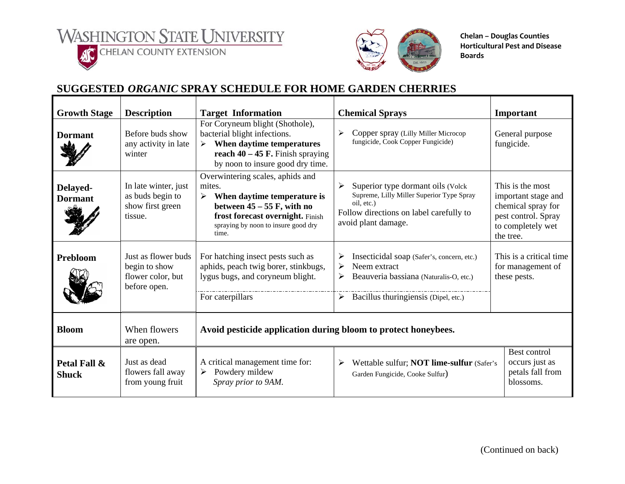WASHINGTON STATE UNIVERSITY





**Chelan – Douglas Counties Horticultural Pest and Disease Boards**

## **SUGGESTED** *ORGANIC* **SPRAY SCHEDULE FOR HOME GARDEN CHERRIES**

| <b>Growth Stage</b>          | <b>Description</b>                                                        | <b>Target Information</b>                                                                                                                                                                          | <b>Chemical Sprays</b>                                                                                                                                                                   | Important                                                                                                              |  |  |
|------------------------------|---------------------------------------------------------------------------|----------------------------------------------------------------------------------------------------------------------------------------------------------------------------------------------------|------------------------------------------------------------------------------------------------------------------------------------------------------------------------------------------|------------------------------------------------------------------------------------------------------------------------|--|--|
| <b>Dormant</b>               | Before buds show<br>any activity in late<br>winter                        | For Coryneum blight (Shothole),<br>bacterial blight infections.<br>$\triangleright$ When daytime temperatures<br>reach $40 - 45$ F. Finish spraying<br>by noon to insure good dry time.            | ⋗<br>Copper spray (Lilly Miller Microcop<br>fungicide, Cook Copper Fungicide)                                                                                                            | General purpose<br>fungicide.                                                                                          |  |  |
| Delayed-<br><b>Dormant</b>   | In late winter, just<br>as buds begin to<br>show first green<br>tissue.   | Overwintering scales, aphids and<br>mites.<br>When daytime temperature is<br>➤<br>between $45 - 55$ F, with no<br>frost forecast overnight. Finish<br>spraying by noon to insure good dry<br>time. | $\blacktriangleright$<br>Superior type dormant oils (Volck)<br>Supreme, Lilly Miller Superior Type Spray<br>oil, etc.)<br>Follow directions on label carefully to<br>avoid plant damage. | This is the most<br>important stage and<br>chemical spray for<br>pest control. Spray<br>to completely wet<br>the tree. |  |  |
| Prebloom                     | Just as flower buds<br>begin to show<br>flower color, but<br>before open. | For hatching insect pests such as<br>aphids, peach twig borer, stinkbugs,<br>lygus bugs, and coryneum blight.<br>For caterpillars                                                                  | Insecticidal soap (Safer's, concern, etc.)<br>➤<br>➤<br>Neem extract<br>≻<br>Beauveria bassiana (Naturalis-O, etc.)<br>$\blacktriangleright$<br>Bacillus thuringiensis (Dipel, etc.)     | This is a critical time.<br>for management of<br>these pests.                                                          |  |  |
| <b>Bloom</b>                 | When flowers<br>are open.                                                 | Avoid pesticide application during bloom to protect honeybees.                                                                                                                                     |                                                                                                                                                                                          |                                                                                                                        |  |  |
| Petal Fall &<br><b>Shuck</b> | Just as dead<br>flowers fall away<br>from young fruit                     | A critical management time for:<br>Powdery mildew<br>➤<br>Spray prior to 9AM.                                                                                                                      | Best control<br>occurs just as<br>Wettable sulfur; NOT lime-sulfur (Safer's<br>➤<br>petals fall from<br>Garden Fungicide, Cooke Sulfur)<br>blossoms.                                     |                                                                                                                        |  |  |